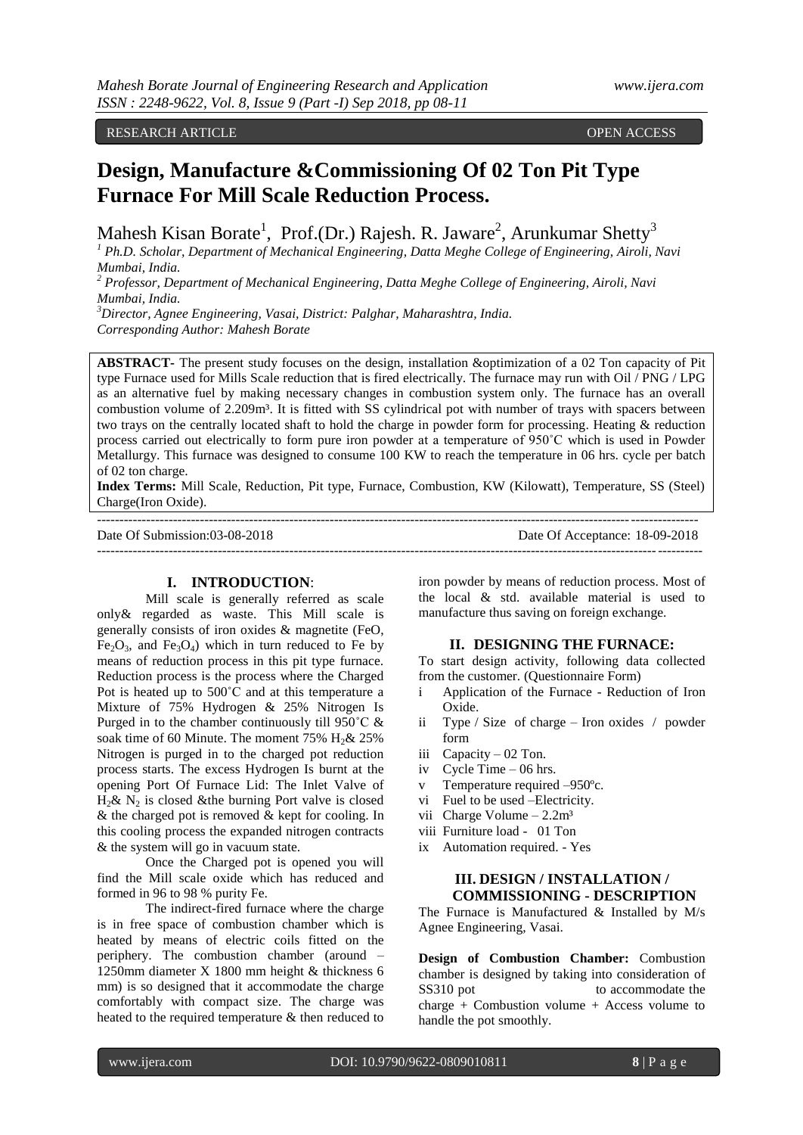RESEARCH ARTICLE **OPEN ACCESS** 

# **Design, Manufacture &Commissioning Of 02 Ton Pit Type Furnace For Mill Scale Reduction Process.**

Mahesh Kisan Borate<sup>1</sup>, Prof.(Dr.) Rajesh. R. Jaware<sup>2</sup>, Arunkumar Shetty<sup>3</sup>

*<sup>1</sup> Ph.D. Scholar, Department of Mechanical Engineering, Datta Meghe College of Engineering, Airoli, Navi Mumbai, India.*

*<sup>2</sup> Professor, Department of Mechanical Engineering, Datta Meghe College of Engineering, Airoli, Navi Mumbai, India.*

*<sup>3</sup>Director, Agnee Engineering, Vasai, District: Palghar, Maharashtra, India.*

*Corresponding Author: Mahesh Borate*

**ABSTRACT-** The present study focuses on the design, installation &optimization of a 02 Ton capacity of Pit type Furnace used for Mills Scale reduction that is fired electrically. The furnace may run with Oil / PNG / LPG as an alternative fuel by making necessary changes in combustion system only. The furnace has an overall combustion volume of 2.209m<sup>3</sup>. It is fitted with SS cylindrical pot with number of trays with spacers between two trays on the centrally located shaft to hold the charge in powder form for processing. Heating & reduction process carried out electrically to form pure iron powder at a temperature of 950˚C which is used in Powder Metallurgy. This furnace was designed to consume 100 KW to reach the temperature in 06 hrs. cycle per batch of 02 ton charge.

**Index Terms:** Mill Scale, Reduction, Pit type, Furnace, Combustion, KW (Kilowatt), Temperature, SS (Steel) Charge(Iron Oxide).

--------------------------------------------------------------------------------------------------------------------------------------

Date Of Submission:03-08-2018 Date Of Acceptance: 18-09-2018

---------------------------------------------------------------------------------------------------------------------------------------

## **I. INTRODUCTION**:

Mill scale is generally referred as scale only& regarded as waste. This Mill scale is generally consists of iron oxides & magnetite (FeO,  $Fe<sub>2</sub>O<sub>3</sub>$ , and  $Fe<sub>3</sub>O<sub>4</sub>$ ) which in turn reduced to Fe by means of reduction process in this pit type furnace. Reduction process is the process where the Charged Pot is heated up to 500˚C and at this temperature a Mixture of 75% Hydrogen & 25% Nitrogen Is Purged in to the chamber continuously till 950˚C & soak time of 60 Minute. The moment 75%  $H_2\& 25\%$ Nitrogen is purged in to the charged pot reduction process starts. The excess Hydrogen Is burnt at the opening Port Of Furnace Lid: The Inlet Valve of  $H_2$ &  $N_2$  is closed &the burning Port valve is closed & the charged pot is removed & kept for cooling. In this cooling process the expanded nitrogen contracts & the system will go in vacuum state.

Once the Charged pot is opened you will find the Mill scale oxide which has reduced and formed in 96 to 98 % purity Fe.

The indirect-fired furnace where the charge is in free space of combustion chamber which is heated by means of electric coils fitted on the periphery. The combustion chamber (around – 1250mm diameter X 1800 mm height & thickness 6 mm) is so designed that it accommodate the charge comfortably with compact size. The charge was heated to the required temperature & then reduced to

iron powder by means of reduction process. Most of the local & std. available material is used to manufacture thus saving on foreign exchange.

## **II. DESIGNING THE FURNACE:**

To start design activity, following data collected from the customer. (Questionnaire Form)

- i Application of the Furnace Reduction of Iron Oxide.
- ii Type / Size of charge Iron oxides / powder form
- iii Capacity 02 Ton.
- iv Cycle Time 06 hrs.
- v Temperature required -950°c.
- vi Fuel to be used –Electricity.
- vii Charge Volume  $-2.2m<sup>3</sup>$
- viii Furniture load 01 Ton
- ix Automation required. Yes

# **III. DESIGN / INSTALLATION / COMMISSIONING - DESCRIPTION**

The Furnace is Manufactured & Installed by M/s Agnee Engineering, Vasai.

**Design of Combustion Chamber:** Combustion chamber is designed by taking into consideration of SS310 pot to accommodate the charge + Combustion volume + Access volume to handle the pot smoothly.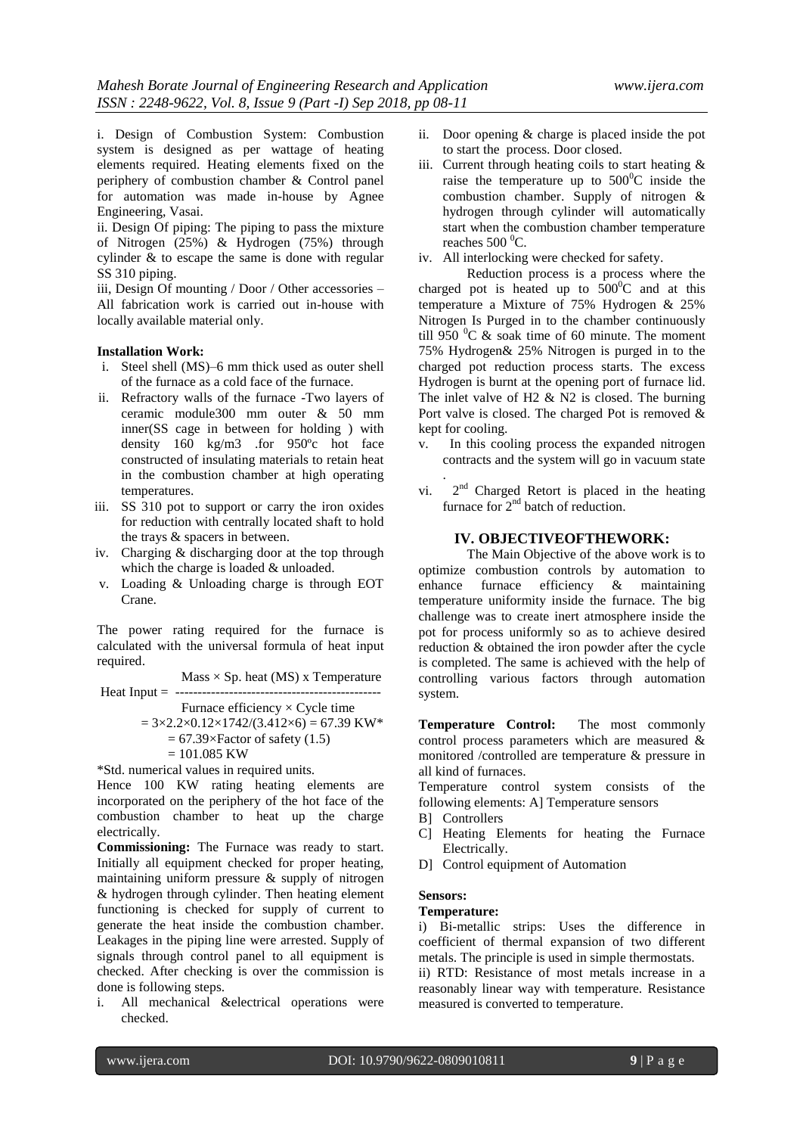i. Design of Combustion System: Combustion system is designed as per wattage of heating elements required. Heating elements fixed on the periphery of combustion chamber & Control panel for automation was made in-house by Agnee Engineering, Vasai.

ii. Design Of piping: The piping to pass the mixture of Nitrogen (25%) & Hydrogen (75%) through cylinder & to escape the same is done with regular SS 310 piping.

iii, Design Of mounting / Door / Other accessories – All fabrication work is carried out in-house with locally available material only.

#### **Installation Work:**

- i. Steel shell (MS)–6 mm thick used as outer shell of the furnace as a cold face of the furnace.
- ii. Refractory walls of the furnace -Two layers of ceramic module300 mm outer & 50 mm inner(SS cage in between for holding ) with density 160 kg/m3 .for 950ºc hot face constructed of insulating materials to retain heat in the combustion chamber at high operating temperatures.
- iii. SS 310 pot to support or carry the iron oxides for reduction with centrally located shaft to hold the trays & spacers in between.
- iv. Charging & discharging door at the top through which the charge is loaded & unloaded.
- v. Loading & Unloading charge is through EOT Crane.

The power rating required for the furnace is calculated with the universal formula of heat input required.

 $Mass \times Sp.$  heat (MS) x Temperature Heat Input  $=$  -------

Furnace efficiency  $\times$  Cycle time

$$
= 3 \times 2.2 \times 0.12 \times 1742 / (3.412 \times 6) = 67.39 \text{ KW*}
$$
  
= 67.39 \times Factor of safety (1.5)

$$
= 101.085 \text{ KW}
$$

\*Std. numerical values in required units.

Hence 100 KW rating heating elements are incorporated on the periphery of the hot face of the combustion chamber to heat up the charge electrically.

**Commissioning:** The Furnace was ready to start. Initially all equipment checked for proper heating, maintaining uniform pressure & supply of nitrogen & hydrogen through cylinder. Then heating element functioning is checked for supply of current to generate the heat inside the combustion chamber. Leakages in the piping line were arrested. Supply of signals through control panel to all equipment is checked. After checking is over the commission is done is following steps.

i. All mechanical &electrical operations were checked.

- ii. Door opening & charge is placed inside the pot to start the process. Door closed.
- iii. Current through heating coils to start heating  $\&$ raise the temperature up to  $500^{\circ}$ C inside the combustion chamber. Supply of nitrogen & hydrogen through cylinder will automatically start when the combustion chamber temperature reaches  $500^{\circ}$ C.
- iv. All interlocking were checked for safety.

Reduction process is a process where the charged pot is heated up to  $500^{\circ}$ C and at this temperature a Mixture of 75% Hydrogen & 25% Nitrogen Is Purged in to the chamber continuously till 950  $\mathrm{^0C}$  & soak time of 60 minute. The moment 75% Hydrogen& 25% Nitrogen is purged in to the charged pot reduction process starts. The excess Hydrogen is burnt at the opening port of furnace lid. The inlet valve of H2  $\&$  N2 is closed. The burning Port valve is closed. The charged Pot is removed & kept for cooling.

- v. In this cooling process the expanded nitrogen contracts and the system will go in vacuum state .
- vi.  $2<sup>nd</sup>$  Charged Retort is placed in the heating furnace for  $2<sup>nd</sup>$  batch of reduction.

# **IV. OBJECTIVEOFTHEWORK:**

The Main Objective of the above work is to optimize combustion controls by automation to enhance furnace efficiency & maintaining temperature uniformity inside the furnace. The big challenge was to create inert atmosphere inside the pot for process uniformly so as to achieve desired reduction & obtained the iron powder after the cycle is completed. The same is achieved with the help of controlling various factors through automation system.

**Temperature Control:** The most commonly control process parameters which are measured & monitored /controlled are temperature & pressure in all kind of furnaces.

Temperature control system consists of the following elements: A] Temperature sensors

- B] Controllers
- C] Heating Elements for heating the Furnace Electrically.
- D] Control equipment of Automation

## **Sensors:**

## **Temperature:**

i) Bi-metallic strips: Uses the difference in coefficient of thermal expansion of two different metals. The principle is used in simple thermostats.

ii) RTD: Resistance of most metals increase in a reasonably linear way with temperature. Resistance measured is converted to temperature.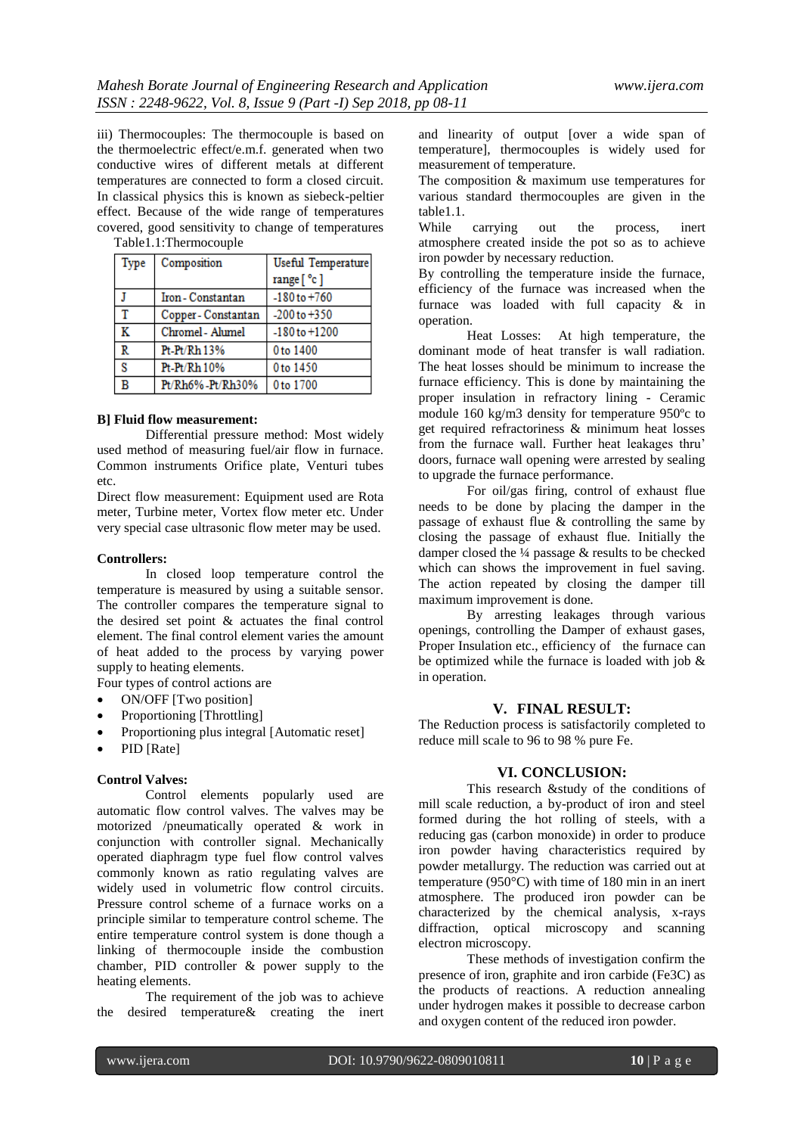iii) Thermocouples: The thermocouple is based on the thermoelectric effect/e.m.f. generated when two conductive wires of different metals at different temperatures are connected to form a closed circuit. In classical physics this is known as siebeck-peltier effect. Because of the wide range of temperatures covered, good sensitivity to change of temperatures Table1.1:Thermocouple

| <b>Type</b> | Composition         | Useful Temperature |
|-------------|---------------------|--------------------|
|             |                     | range [ °c ]       |
|             | Iron - Constantan   | $-180$ to $+760$   |
| т           | Copper - Constantan | $-200$ to $+350$   |
| ĸ           | Chromel - Alumel    | $-180$ to $+1200$  |
| R           | Pt-Pt/Rh 13%        | 0 to 1400          |
| s           | $Pt-Pt/Rh10%$       | 0 to 1450          |
| R           | Pt/Rh6%-Pt/Rh30%    | 0 to 1700          |

## **B] Fluid flow measurement:**

Differential pressure method: Most widely used method of measuring fuel/air flow in furnace. Common instruments Orifice plate, Venturi tubes etc.

Direct flow measurement: Equipment used are Rota meter, Turbine meter, Vortex flow meter etc. Under very special case ultrasonic flow meter may be used.

#### **Controllers:**

In closed loop temperature control the temperature is measured by using a suitable sensor. The controller compares the temperature signal to the desired set point & actuates the final control element. The final control element varies the amount of heat added to the process by varying power supply to heating elements.

Four types of control actions are

- ON/OFF [Two position]
- Proportioning [Throttling]
- Proportioning plus integral [Automatic reset]
- PID [Rate]

## **Control Valves:**

Control elements popularly used are automatic flow control valves. The valves may be motorized /pneumatically operated & work in conjunction with controller signal. Mechanically operated diaphragm type fuel flow control valves commonly known as ratio regulating valves are widely used in volumetric flow control circuits. Pressure control scheme of a furnace works on a principle similar to temperature control scheme. The entire temperature control system is done though a linking of thermocouple inside the combustion chamber, PID controller & power supply to the heating elements.

The requirement of the job was to achieve the desired temperature& creating the inert and linearity of output [over a wide span of temperature], thermocouples is widely used for measurement of temperature.

The composition & maximum use temperatures for various standard thermocouples are given in the table1.1.

While carrying out the process, inert atmosphere created inside the pot so as to achieve iron powder by necessary reduction.

By controlling the temperature inside the furnace, efficiency of the furnace was increased when the furnace was loaded with full capacity & in operation.

Heat Losses: At high temperature, the dominant mode of heat transfer is wall radiation. The heat losses should be minimum to increase the furnace efficiency. This is done by maintaining the proper insulation in refractory lining - Ceramic module 160 kg/m3 density for temperature 950ºc to get required refractoriness & minimum heat losses from the furnace wall. Further heat leakages thru' doors, furnace wall opening were arrested by sealing to upgrade the furnace performance.

For oil/gas firing, control of exhaust flue needs to be done by placing the damper in the passage of exhaust flue & controlling the same by closing the passage of exhaust flue. Initially the damper closed the ¼ passage & results to be checked which can shows the improvement in fuel saving. The action repeated by closing the damper till maximum improvement is done.

By arresting leakages through various openings, controlling the Damper of exhaust gases, Proper Insulation etc., efficiency of the furnace can be optimized while the furnace is loaded with job & in operation.

## **V. FINAL RESULT:**

The Reduction process is satisfactorily completed to reduce mill scale to 96 to 98 % pure Fe.

#### **VI. CONCLUSION:**

This research &study of the conditions of mill scale reduction, a by-product of iron and steel formed during the hot rolling of steels, with a reducing gas (carbon monoxide) in order to produce iron powder having characteristics required by powder metallurgy. The reduction was carried out at temperature (950°C) with time of 180 min in an inert atmosphere. The produced iron powder can be characterized by the chemical analysis, x-rays diffraction, optical microscopy and scanning electron microscopy.

These methods of investigation confirm the presence of iron, graphite and iron carbide (Fe3C) as the products of reactions. A reduction annealing under hydrogen makes it possible to decrease carbon and oxygen content of the reduced iron powder.